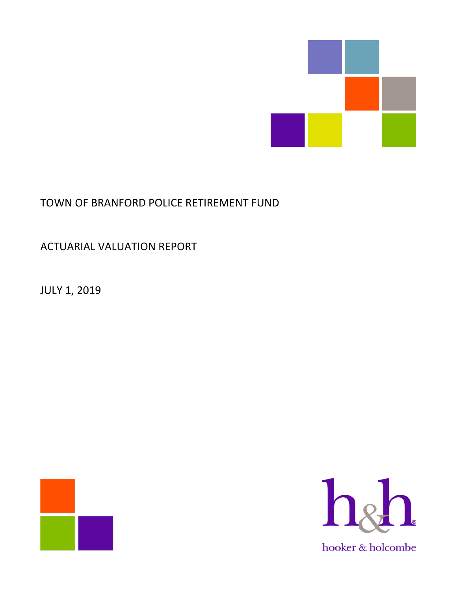

# TOWN OF BRANFORD POLICE RETIREMENT FUND

# ACTUARIAL VALUATION REPORT

JULY 1, 2019



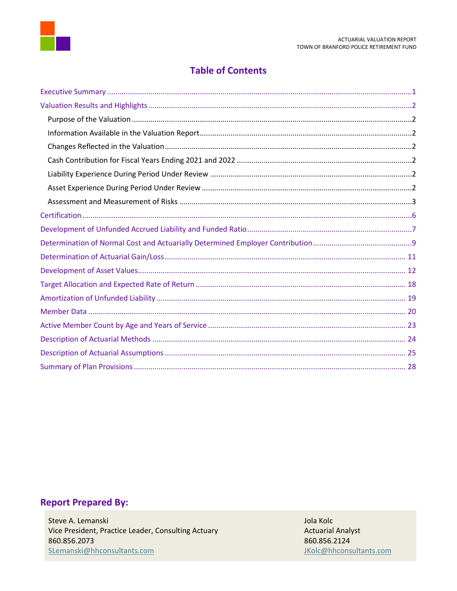

### **Table of Contents**

# **Report Prepared By:**

Steve A. Lemanski Vice President, Practice Leader, Consulting Actuary 860.856.2073 SLemanski@hhconsultants.com

Jola Kolc **Actuarial Analyst** 860.856.2124 JKolc@hhconsultants.com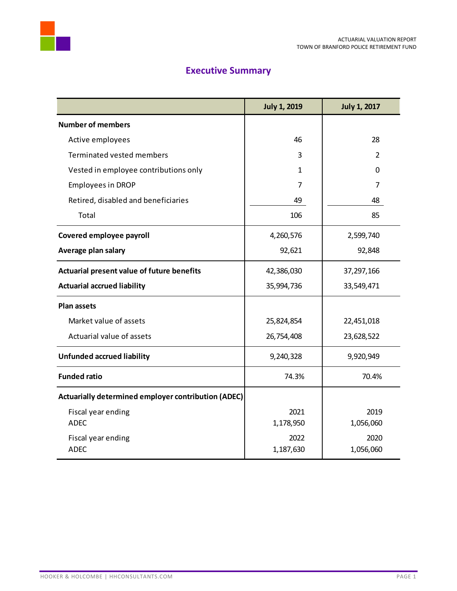



# **Executive Summary**

<span id="page-2-0"></span>

|                                                     | <b>July 1, 2019</b> | <b>July 1, 2017</b> |
|-----------------------------------------------------|---------------------|---------------------|
| <b>Number of members</b>                            |                     |                     |
| Active employees                                    | 46                  | 28                  |
| Terminated vested members                           | 3                   | 2                   |
| Vested in employee contributions only               | $\mathbf{1}$        | $\Omega$            |
| <b>Employees in DROP</b>                            | 7                   | 7                   |
| Retired, disabled and beneficiaries                 | 49                  | 48                  |
| Total                                               | 106                 | 85                  |
| Covered employee payroll                            | 4,260,576           | 2,599,740           |
| Average plan salary                                 | 92,621              | 92,848              |
| Actuarial present value of future benefits          | 42,386,030          | 37,297,166          |
| <b>Actuarial accrued liability</b>                  | 35,994,736          | 33,549,471          |
| <b>Plan assets</b>                                  |                     |                     |
| Market value of assets                              | 25,824,854          | 22,451,018          |
| Actuarial value of assets                           | 26,754,408          | 23,628,522          |
| <b>Unfunded accrued liability</b>                   | 9,240,328           | 9,920,949           |
| <b>Funded ratio</b>                                 | 74.3%               | 70.4%               |
| Actuarially determined employer contribution (ADEC) |                     |                     |
| Fiscal year ending                                  | 2021                | 2019                |
| <b>ADEC</b>                                         | 1,178,950           | 1,056,060           |
| Fiscal year ending                                  | 2022                | 2020                |
| <b>ADEC</b>                                         | 1,187,630           | 1,056,060           |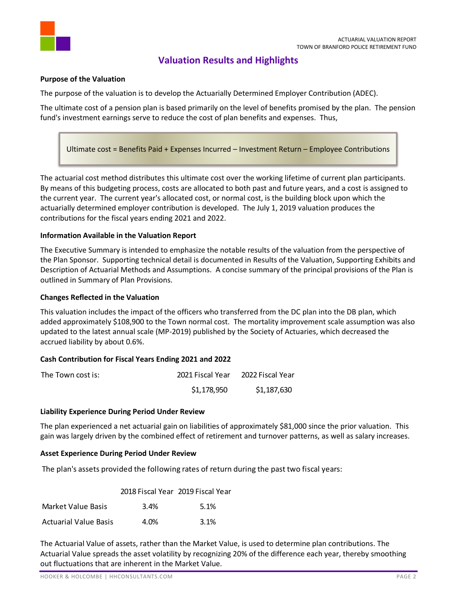

### **Valuation Results and Highlights**

#### <span id="page-3-1"></span><span id="page-3-0"></span>**Purpose of the Valuation**

The purpose of the valuation is to develop the Actuarially Determined Employer Contribution (ADEC).

The ultimate cost of a pension plan is based primarily on the level of benefits promised by the plan. The pension fund's investment earnings serve to reduce the cost of plan benefits and expenses. Thus,

Ultimate cost = Benefits Paid + Expenses Incurred – Investment Return – Employee Contributions

The actuarial cost method distributes this ultimate cost over the working lifetime of current plan participants. By means of this budgeting process, costs are allocated to both past and future years, and a cost is assigned to the current year. The current year's allocated cost, or normal cost, is the building block upon which the actuarially determined employer contribution is developed. The July 1, 2019 valuation produces the contributions for the fiscal years ending 2021 and 2022.

#### <span id="page-3-2"></span>**Information Available in the Valuation Report**

The Executive Summary is intended to emphasize the notable results of the valuation from the perspective of the Plan Sponsor. Supporting technical detail is documented in Results of the Valuation, Supporting Exhibits and Description of Actuarial Methods and Assumptions. A concise summary of the principal provisions of the Plan is outlined in Summary of Plan Provisions.

#### <span id="page-3-3"></span>**Changes Reflected in the Valuation**

This valuation includes the impact of the officers who transferred from the DC plan into the DB plan, which added approximately \$108,900 to the Town normal cost. The mortality improvement scale assumption was also updated to the latest annual scale (MP-2019) published by the Society of Actuaries, which decreased the accrued liability by about 0.6%.

#### <span id="page-3-4"></span>**Cash Contribution for Fiscal Years Ending 2021 and 2022**

| The Town cost is: | 2021 Fiscal Year | 2022 Fiscal Year |
|-------------------|------------------|------------------|
|                   | \$1,178,950      | \$1,187,630      |

#### <span id="page-3-5"></span>**Liability Experience During Period Under Review**

The plan experienced a net actuarial gain on liabilities of approximately \$81,000 since the prior valuation. This gain was largely driven by the combined effect of retirement and turnover patterns, as well as salary increases.

#### <span id="page-3-6"></span>**Asset Experience During Period Under Review**

The plan's assets provided the following rates of return during the past two fiscal years:

|                              | 2018 Fiscal Year 2019 Fiscal Year |      |
|------------------------------|-----------------------------------|------|
| Market Value Basis           | 3.4%                              | 5.1% |
| <b>Actuarial Value Basis</b> | 4.0%                              | 3.1% |

The Actuarial Value of assets, rather than the Market Value, is used to determine plan contributions. The Actuarial Value spreads the asset volatility by recognizing 20% of the difference each year, thereby smoothing out fluctuations that are inherent in the Market Value.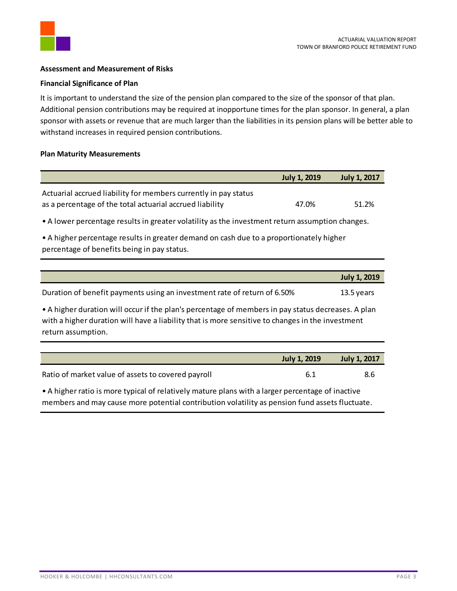

#### <span id="page-4-0"></span>**Assessment and Measurement of Risks**

#### **Financial Significance of Plan**

It is important to understand the size of the pension plan compared to the size of the sponsor of that plan. Additional pension contributions may be required at inopportune times for the plan sponsor. In general, a plan sponsor with assets or revenue that are much larger than the liabilities in its pension plans will be better able to withstand increases in required pension contributions.

#### **Plan Maturity Measurements**

|                                                                                                                                                                                                                              | <b>July 1, 2019</b> | <b>July 1, 2017</b> |  |
|------------------------------------------------------------------------------------------------------------------------------------------------------------------------------------------------------------------------------|---------------------|---------------------|--|
| Actuarial accrued liability for members currently in pay status<br>as a percentage of the total actuarial accrued liability                                                                                                  | 47.0%               | 51.2%               |  |
| • A lower percentage results in greater volatility as the investment return assumption changes.                                                                                                                              |                     |                     |  |
| • A higher percentage results in greater demand on cash due to a proportionately higher<br>percentage of benefits being in pay status.                                                                                       |                     |                     |  |
|                                                                                                                                                                                                                              |                     |                     |  |
|                                                                                                                                                                                                                              |                     | <b>July 1, 2019</b> |  |
| Duration of benefit payments using an investment rate of return of 6.50%                                                                                                                                                     |                     | 13.5 years          |  |
| • A higher duration will occur if the plan's percentage of members in pay status decreases. A plan<br>with a higher duration will have a liability that is more sensitive to changes in the investment<br>return assumption. |                     |                     |  |
|                                                                                                                                                                                                                              |                     |                     |  |
|                                                                                                                                                                                                                              | July 1, 2010        | 1.11, 1.2017        |  |

|                                                                                                                                                                                                                                | <b>July 1, 2019</b> | <b>July 1, 2017</b> |
|--------------------------------------------------------------------------------------------------------------------------------------------------------------------------------------------------------------------------------|---------------------|---------------------|
| Ratio of market value of assets to covered payroll                                                                                                                                                                             | 6.1                 | 8.6                 |
| Altri at the second format and the second control of the second control of the second control of the second control of the second control of the second control of the second control of the second control of the second cont |                     |                     |

• A higher ratio is more typical of relatively mature plans with a larger percentage of inactive members and may cause more potential contribution volatility as pension fund assets fluctuate.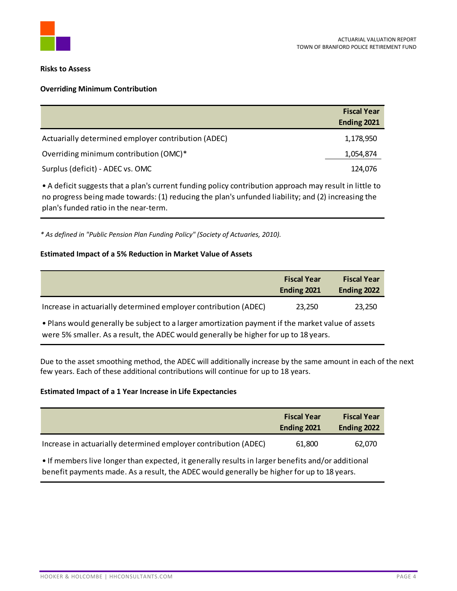

#### **Risks to Assess**

#### **Overriding Minimum Contribution**

|                                                     | <b>Fiscal Year</b> |
|-----------------------------------------------------|--------------------|
|                                                     | Ending 2021        |
| Actuarially determined employer contribution (ADEC) | 1,178,950          |
| Overriding minimum contribution (OMC)*              | 1,054,874          |
| Surplus (deficit) - ADEC vs. OMC                    | 124,076            |

• A deficit suggests that a plan's current funding policy contribution approach may result in little to no progress being made towards: (1) reducing the plan's unfunded liability; and (2) increasing the plan's funded ratio in the near-term.

*\* As defined in "Public Pension Plan Funding Policy" (Society of Actuaries, 2010).*

#### **Estimated Impact of a 5% Reduction in Market Value of Assets**

|                                                                 | <b>Fiscal Year</b><br>Ending 2021 | <b>Fiscal Year</b><br>Ending 2022 |
|-----------------------------------------------------------------|-----------------------------------|-----------------------------------|
| Increase in actuarially determined employer contribution (ADEC) | 23,250                            | 23,250                            |

• Plans would generally be subject to a larger amortization payment if the market value of assets were 5% smaller. As a result, the ADEC would generally be higher for up to 18 years.

Due to the asset smoothing method, the ADEC will additionally increase by the same amount in each of the next few years. Each of these additional contributions will continue for up to 18 years.

#### **Estimated Impact of a 1 Year Increase in Life Expectancies**

|                                                                 | <b>Fiscal Year</b><br>Ending 2021 | <b>Fiscal Year</b><br>Ending 2022 |
|-----------------------------------------------------------------|-----------------------------------|-----------------------------------|
| Increase in actuarially determined employer contribution (ADEC) | 61,800                            | 62,070                            |
| .                                                               |                                   |                                   |

• If members live longer than expected, it generally results in larger benefits and/or additional benefit payments made. As a result, the ADEC would generally be higher for up to 18 years.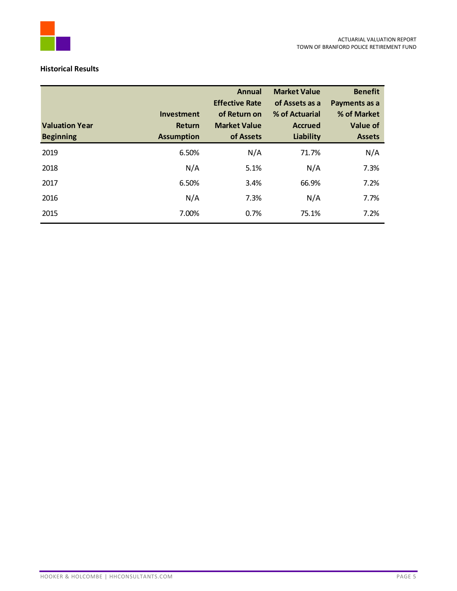

#### **Historical Results**

|                       |                   | <b>Annual</b>                         | <b>Market Value</b>              | <b>Benefit</b>               |
|-----------------------|-------------------|---------------------------------------|----------------------------------|------------------------------|
|                       | <b>Investment</b> | <b>Effective Rate</b><br>of Return on | of Assets as a<br>% of Actuarial | Payments as a<br>% of Market |
| <b>Valuation Year</b> | Return            | <b>Market Value</b>                   | <b>Accrued</b>                   | Value of                     |
| <b>Beginning</b>      | <b>Assumption</b> | of Assets                             | Liability                        | <b>Assets</b>                |
| 2019                  | 6.50%             | N/A                                   | 71.7%                            | N/A                          |
| 2018                  | N/A               | 5.1%                                  | N/A                              | 7.3%                         |
| 2017                  | 6.50%             | 3.4%                                  | 66.9%                            | 7.2%                         |
| 2016                  | N/A               | 7.3%                                  | N/A                              | 7.7%                         |
| 2015                  | 7.00%             | 0.7%                                  | 75.1%                            | 7.2%                         |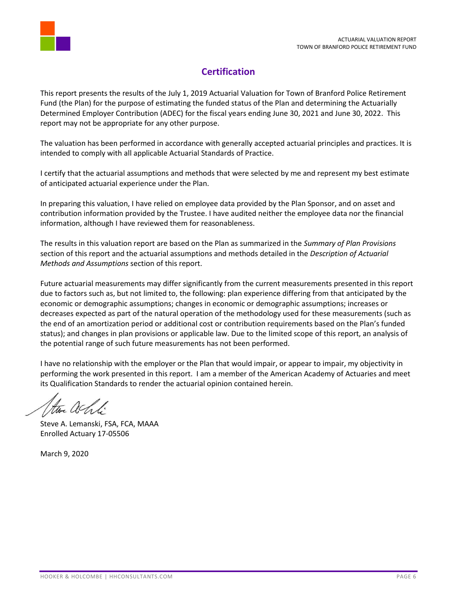

## **Certification**

<span id="page-7-0"></span>This report presents the results of the July 1, 2019 Actuarial Valuation for Town of Branford Police Retirement Fund (the Plan) for the purpose of estimating the funded status of the Plan and determining the Actuarially Determined Employer Contribution (ADEC) for the fiscal years ending June 30, 2021 and June 30, 2022. This report may not be appropriate for any other purpose.

The valuation has been performed in accordance with generally accepted actuarial principles and practices. It is intended to comply with all applicable Actuarial Standards of Practice.

I certify that the actuarial assumptions and methods that were selected by me and represent my best estimate of anticipated actuarial experience under the Plan.

In preparing this valuation, I have relied on employee data provided by the Plan Sponsor, and on asset and contribution information provided by the Trustee. I have audited neither the employee data nor the financial information, although I have reviewed them for reasonableness.

The results in this valuation report are based on the Plan as summarized in the *Summary of Plan Provisions* section of this report and the actuarial assumptions and methods detailed in the *Description of Actuarial Methods and Assumptions* section of this report.

Future actuarial measurements may differ significantly from the current measurements presented in this report due to factors such as, but not limited to, the following: plan experience differing from that anticipated by the economic or demographic assumptions; changes in economic or demographic assumptions; increases or decreases expected as part of the natural operation of the methodology used for these measurements (such as the end of an amortization period or additional cost or contribution requirements based on the Plan's funded status); and changes in plan provisions or applicable law. Due to the limited scope of this report, an analysis of the potential range of such future measurements has not been performed.

I have no relationship with the employer or the Plan that would impair, or appear to impair, my objectivity in performing the work presented in this report. I am a member of the American Academy of Actuaries and meet its Qualification Standards to render the actuarial opinion contained herein.

the achti

Steve A. Lemanski, FSA, FCA, MAAA Enrolled Actuary 17-05506

March 9, 2020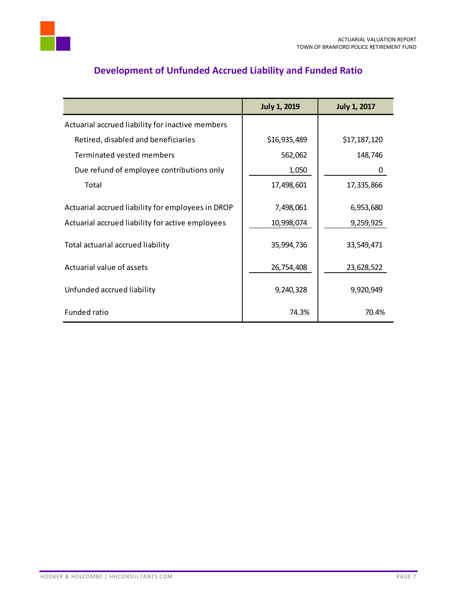

<span id="page-8-0"></span>

|                                                   | <b>July 1, 2019</b> | <b>July 1, 2017</b> |
|---------------------------------------------------|---------------------|---------------------|
| Actuarial accrued liability for inactive members  |                     |                     |
| Retired, disabled and beneficiaries               | \$16,935,489        | \$17,187,120        |
| Terminated vested members                         | 562,062             | 148,746             |
| Due refund of employee contributions only         | 1,050               | 0                   |
| Total                                             | 17,498,601          | 17,335,866          |
| Actuarial accrued liability for employees in DROP | 7,498,061           | 6,953,680           |
| Actuarial accrued liability for active employees  | 10,998,074          | 9,259,925           |
| Total actuarial accrued liability                 | 35,994,736          | 33,549,471          |
| Actuarial value of assets                         | 26,754,408          | 23,628,522          |
| Unfunded accrued liability                        | 9,240,328           | 9,920,949           |
| <b>Funded ratio</b>                               | 74.3%               | 70.4%               |

# **Development of Unfunded Accrued Liability and Funded Ratio**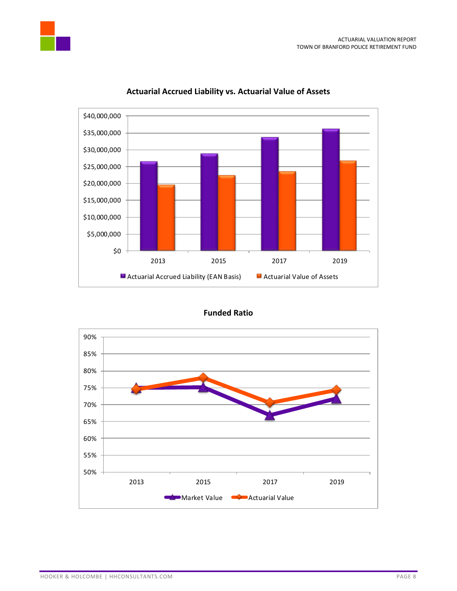



#### **Actuarial Accrued Liability vs. Actuarial Value of Assets**

**Funded Ratio**

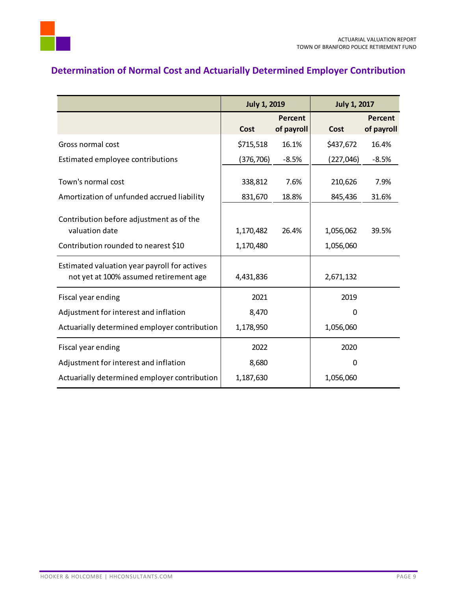

# <span id="page-10-0"></span>**Determination of Normal Cost and Actuarially Determined Employer Contribution**

|                                                                                        | <b>July 1, 2019</b> |                       | <b>July 1, 2017</b> |                       |
|----------------------------------------------------------------------------------------|---------------------|-----------------------|---------------------|-----------------------|
|                                                                                        | Cost                | Percent<br>of payroll | Cost                | Percent<br>of payroll |
| Gross normal cost                                                                      | \$715,518           | 16.1%                 | \$437,672           | 16.4%                 |
| Estimated employee contributions                                                       | (376, 706)          | $-8.5%$               | (227, 046)          | $-8.5%$               |
| Town's normal cost                                                                     | 338,812             | 7.6%                  | 210,626             | 7.9%                  |
| Amortization of unfunded accrued liability                                             | 831,670             | 18.8%                 | 845,436             | 31.6%                 |
| Contribution before adjustment as of the<br>valuation date                             | 1,170,482           | 26.4%                 | 1,056,062           | 39.5%                 |
| Contribution rounded to nearest \$10                                                   | 1,170,480           |                       | 1,056,060           |                       |
| Estimated valuation year payroll for actives<br>not yet at 100% assumed retirement age | 4,431,836           |                       | 2,671,132           |                       |
| Fiscal year ending                                                                     | 2021                |                       | 2019                |                       |
| Adjustment for interest and inflation                                                  | 8,470               |                       | 0                   |                       |
| Actuarially determined employer contribution                                           | 1,178,950           |                       | 1,056,060           |                       |
| Fiscal year ending                                                                     | 2022                |                       | 2020                |                       |
| Adjustment for interest and inflation                                                  | 8,680               |                       | $\Omega$            |                       |
| Actuarially determined employer contribution                                           | 1,187,630           |                       | 1,056,060           |                       |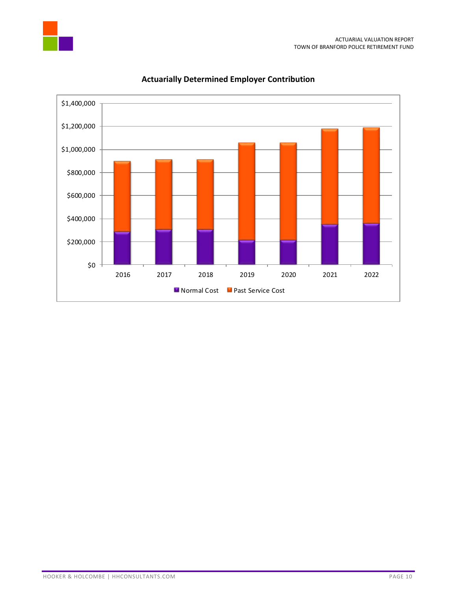



### **Actuarially Determined Employer Contribution**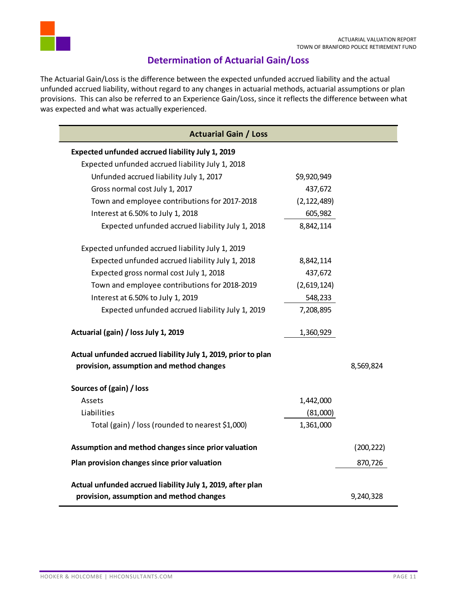

### **Determination of Actuarial Gain/Loss**

<span id="page-12-0"></span>The Actuarial Gain/Loss is the difference between the expected unfunded accrued liability and the actual unfunded accrued liability, without regard to any changes in actuarial methods, actuarial assumptions or plan provisions. This can also be referred to an Experience Gain/Loss, since it reflects the difference between what was expected and what was actually experienced.

| <b>Actuarial Gain / Loss</b>                                                                              |               |            |
|-----------------------------------------------------------------------------------------------------------|---------------|------------|
| Expected unfunded accrued liability July 1, 2019                                                          |               |            |
| Expected unfunded accrued liability July 1, 2018                                                          |               |            |
| Unfunded accrued liability July 1, 2017                                                                   | \$9,920,949   |            |
| Gross normal cost July 1, 2017                                                                            | 437,672       |            |
| Town and employee contributions for 2017-2018                                                             | (2, 122, 489) |            |
| Interest at 6.50% to July 1, 2018                                                                         | 605,982       |            |
| Expected unfunded accrued liability July 1, 2018                                                          | 8,842,114     |            |
| Expected unfunded accrued liability July 1, 2019                                                          |               |            |
| Expected unfunded accrued liability July 1, 2018                                                          | 8,842,114     |            |
| Expected gross normal cost July 1, 2018                                                                   | 437,672       |            |
| Town and employee contributions for 2018-2019                                                             | (2,619,124)   |            |
| Interest at 6.50% to July 1, 2019                                                                         | 548,233       |            |
| Expected unfunded accrued liability July 1, 2019                                                          | 7,208,895     |            |
| Actuarial (gain) / loss July 1, 2019                                                                      | 1,360,929     |            |
| Actual unfunded accrued liability July 1, 2019, prior to plan<br>provision, assumption and method changes |               | 8,569,824  |
| Sources of (gain) / loss                                                                                  |               |            |
| Assets                                                                                                    | 1,442,000     |            |
| Liabilities                                                                                               | (81,000)      |            |
| Total (gain) / loss (rounded to nearest \$1,000)                                                          | 1,361,000     |            |
| Assumption and method changes since prior valuation                                                       |               | (200, 222) |
| Plan provision changes since prior valuation                                                              |               | 870,726    |
| Actual unfunded accrued liability July 1, 2019, after plan                                                |               |            |
| provision, assumption and method changes                                                                  |               | 9,240,328  |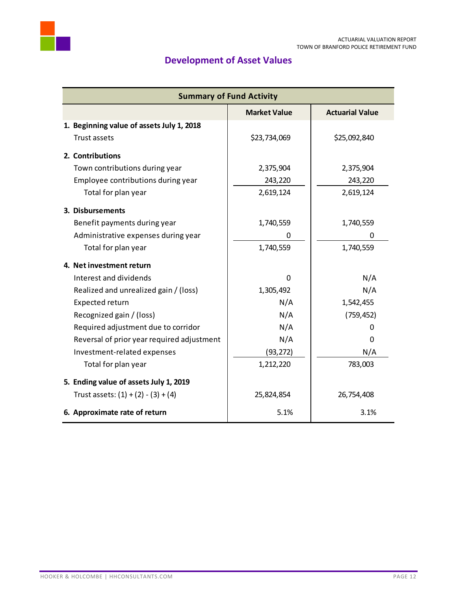<span id="page-13-0"></span>

# **Development of Asset Values**

| <b>Summary of Fund Activity</b>               |              |              |  |  |  |  |
|-----------------------------------------------|--------------|--------------|--|--|--|--|
| <b>Market Value</b><br><b>Actuarial Value</b> |              |              |  |  |  |  |
| 1. Beginning value of assets July 1, 2018     |              |              |  |  |  |  |
| Trust assets                                  | \$23,734,069 | \$25,092,840 |  |  |  |  |
| 2. Contributions                              |              |              |  |  |  |  |
| Town contributions during year                | 2,375,904    | 2,375,904    |  |  |  |  |
| Employee contributions during year            | 243,220      | 243,220      |  |  |  |  |
| Total for plan year                           | 2,619,124    | 2,619,124    |  |  |  |  |
| 3. Disbursements                              |              |              |  |  |  |  |
| Benefit payments during year                  | 1,740,559    | 1,740,559    |  |  |  |  |
| Administrative expenses during year           | 0            | 0            |  |  |  |  |
| Total for plan year                           | 1,740,559    | 1,740,559    |  |  |  |  |
| 4. Net investment return                      |              |              |  |  |  |  |
| Interest and dividends                        | $\Omega$     | N/A          |  |  |  |  |
| Realized and unrealized gain / (loss)         | 1,305,492    | N/A          |  |  |  |  |
| Expected return                               | N/A          | 1,542,455    |  |  |  |  |
| Recognized gain / (loss)                      | N/A          | (759, 452)   |  |  |  |  |
| Required adjustment due to corridor           | N/A          | 0            |  |  |  |  |
| Reversal of prior year required adjustment    | N/A          | 0            |  |  |  |  |
| Investment-related expenses                   | (93, 272)    | N/A          |  |  |  |  |
| Total for plan year                           | 1,212,220    | 783,003      |  |  |  |  |
| 5. Ending value of assets July 1, 2019        |              |              |  |  |  |  |
| Trust assets: $(1) + (2) - (3) + (4)$         | 25,824,854   | 26,754,408   |  |  |  |  |
| 6. Approximate rate of return                 | 5.1%         | 3.1%         |  |  |  |  |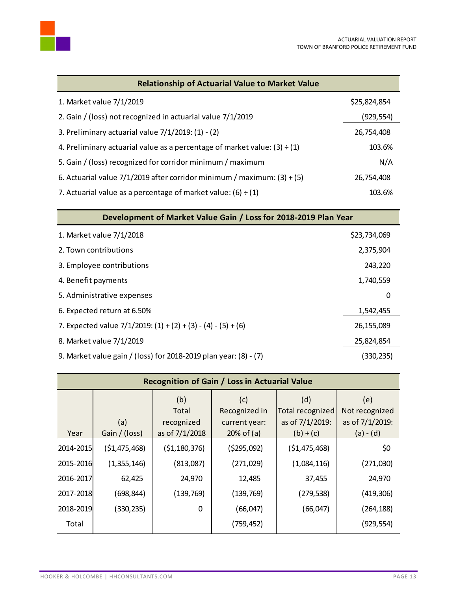

| <b>Relationship of Actuarial Value to Market Value</b>                         |              |  |  |
|--------------------------------------------------------------------------------|--------------|--|--|
| 1. Market value 7/1/2019                                                       | \$25,824,854 |  |  |
| 2. Gain / (loss) not recognized in actuarial value 7/1/2019                    | (929,554)    |  |  |
| 3. Preliminary actuarial value $7/1/2019$ : (1) - (2)                          | 26,754,408   |  |  |
| 4. Preliminary actuarial value as a percentage of market value: $(3) \div (1)$ | 103.6%       |  |  |
| 5. Gain / (loss) recognized for corridor minimum / maximum                     | N/A          |  |  |
| 6. Actuarial value $7/1/2019$ after corridor minimum / maximum: (3) + (5)      | 26,754,408   |  |  |
| 7. Actuarial value as a percentage of market value: $(6) \div (1)$             | 103.6%       |  |  |

| Development of Market Value Gain / Loss for 2018-2019 Plan Year    |              |  |  |  |
|--------------------------------------------------------------------|--------------|--|--|--|
| 1. Market value 7/1/2018                                           | \$23,734,069 |  |  |  |
| 2. Town contributions                                              | 2,375,904    |  |  |  |
| 3. Employee contributions                                          | 243,220      |  |  |  |
| 4. Benefit payments                                                | 1,740,559    |  |  |  |
| 5. Administrative expenses                                         | 0            |  |  |  |
| 6. Expected return at 6.50%                                        | 1,542,455    |  |  |  |
| 7. Expected value $7/1/2019$ : $(1) + (2) + (3) - (4) - (5) + (6)$ | 26,155,089   |  |  |  |
| 8. Market value 7/1/2019                                           | 25,824,854   |  |  |  |
| 9. Market value gain / (loss) for 2018-2019 plan year: (8) - (7)   | (330,235)    |  |  |  |

| <b>Recognition of Gain / Loss in Actuarial Value</b> |               |                            |                                       |                                            |                                          |
|------------------------------------------------------|---------------|----------------------------|---------------------------------------|--------------------------------------------|------------------------------------------|
|                                                      | (a)           | (b)<br>Total<br>recognized | (c)<br>Recognized in<br>current year: | (d)<br>Total recognized<br>as of 7/1/2019: | (e)<br>Not recognized<br>as of 7/1/2019: |
| Year                                                 | Gain / (loss) | as of 7/1/2018             | $20%$ of (a)                          | $(b) + (c)$                                | $(a) - (d)$                              |
| 2014-2015                                            | (\$1,475,468) | ( \$1,180,376)             | (5295,092)                            | ( \$1,475,468)                             | \$0                                      |
| 2015-2016                                            | (1,355,146)   | (813,087)                  | (271, 029)                            | (1,084,116)                                | (271,030)                                |
| 2016-2017                                            | 62,425        | 24,970                     | 12,485                                | 37,455                                     | 24,970                                   |
| 2017-2018                                            | (698, 844)    | (139, 769)                 | (139, 769)                            | (279, 538)                                 | (419, 306)                               |
| 2018-2019                                            | (330, 235)    | $\mathbf 0$                | (66,047)                              | (66, 047)                                  | (264,188)                                |
| Total                                                |               |                            | (759, 452)                            |                                            | (929, 554)                               |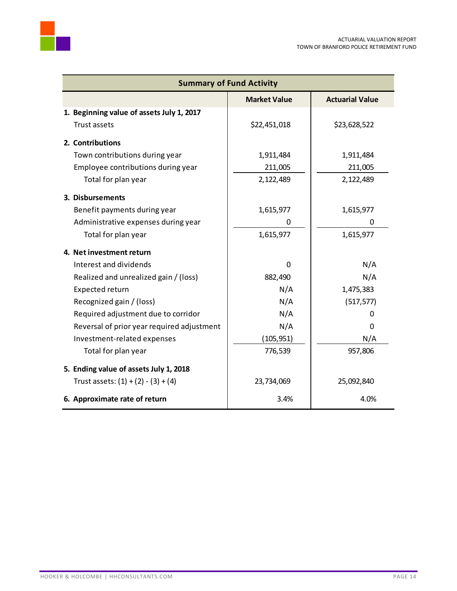| <b>Summary of Fund Activity</b>            |                     |                        |  |  |
|--------------------------------------------|---------------------|------------------------|--|--|
|                                            | <b>Market Value</b> | <b>Actuarial Value</b> |  |  |
| 1. Beginning value of assets July 1, 2017  |                     |                        |  |  |
| Trust assets                               | \$22,451,018        | \$23,628,522           |  |  |
| 2. Contributions                           |                     |                        |  |  |
| Town contributions during year             | 1,911,484           | 1,911,484              |  |  |
| Employee contributions during year         | 211,005             | 211,005                |  |  |
| Total for plan year                        | 2,122,489           | 2,122,489              |  |  |
| 3. Disbursements                           |                     |                        |  |  |
| Benefit payments during year               | 1,615,977           | 1,615,977              |  |  |
| Administrative expenses during year        | 0                   | 0                      |  |  |
| Total for plan year                        | 1,615,977           | 1,615,977              |  |  |
| 4. Net investment return                   |                     |                        |  |  |
| Interest and dividends                     | $\Omega$            | N/A                    |  |  |
| Realized and unrealized gain / (loss)      | 882,490             | N/A                    |  |  |
| Expected return                            | N/A                 | 1,475,383              |  |  |
| Recognized gain / (loss)                   | N/A                 | (517, 577)             |  |  |
| Required adjustment due to corridor        | N/A                 | 0                      |  |  |
| Reversal of prior year required adjustment | N/A                 | 0                      |  |  |
| Investment-related expenses                | (105, 951)          | N/A                    |  |  |
| Total for plan year                        | 776,539             | 957,806                |  |  |
| 5. Ending value of assets July 1, 2018     |                     |                        |  |  |
| Trust assets: $(1) + (2) - (3) + (4)$      | 23,734,069          | 25,092,840             |  |  |
| 6. Approximate rate of return              | 3.4%                | 4.0%                   |  |  |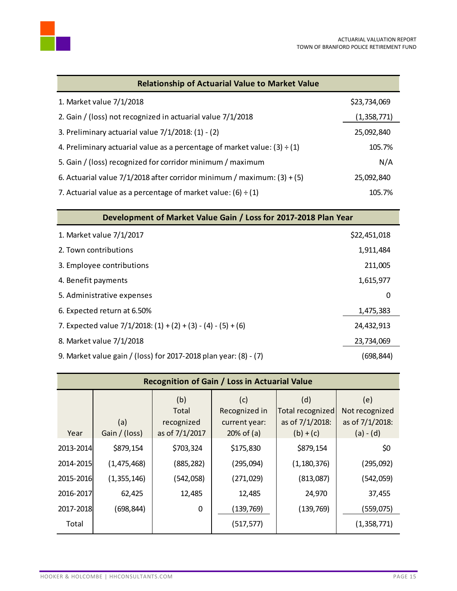

| <b>Relationship of Actuarial Value to Market Value</b>                         |              |  |  |
|--------------------------------------------------------------------------------|--------------|--|--|
| 1. Market value 7/1/2018                                                       | \$23,734,069 |  |  |
| 2. Gain / (loss) not recognized in actuarial value 7/1/2018                    | (1,358,771)  |  |  |
| 3. Preliminary actuarial value $7/1/2018$ : (1) - (2)                          | 25,092,840   |  |  |
| 4. Preliminary actuarial value as a percentage of market value: $(3) \div (1)$ | 105.7%       |  |  |
| 5. Gain / (loss) recognized for corridor minimum / maximum                     | N/A          |  |  |
| 6. Actuarial value $7/1/2018$ after corridor minimum / maximum: (3) + (5)      | 25,092,840   |  |  |
| 7. Actuarial value as a percentage of market value: (6) $\div$ (1)             | 105.7%       |  |  |

| Development of Market Value Gain / Loss for 2017-2018 Plan Year    |              |  |  |  |
|--------------------------------------------------------------------|--------------|--|--|--|
| 1. Market value 7/1/2017                                           | \$22,451,018 |  |  |  |
| 2. Town contributions                                              | 1,911,484    |  |  |  |
| 3. Employee contributions                                          | 211,005      |  |  |  |
| 4. Benefit payments                                                | 1,615,977    |  |  |  |
| 5. Administrative expenses                                         | 0            |  |  |  |
| 6. Expected return at 6.50%                                        | 1,475,383    |  |  |  |
| 7. Expected value $7/1/2018$ : $(1) + (2) + (3) - (4) - (5) + (6)$ | 24,432,913   |  |  |  |
| 8. Market value 7/1/2018                                           | 23,734,069   |  |  |  |
| 9. Market value gain / (loss) for 2017-2018 plan year: (8) - (7)   | (698, 844)   |  |  |  |

| <b>Recognition of Gain / Loss in Actuarial Value</b> |                      |                                              |                                                       |                                                           |                                                         |
|------------------------------------------------------|----------------------|----------------------------------------------|-------------------------------------------------------|-----------------------------------------------------------|---------------------------------------------------------|
| Year                                                 | (a)<br>Gain / (loss) | (b)<br>Total<br>recognized<br>as of 7/1/2017 | (c)<br>Recognized in<br>current year:<br>$20%$ of (a) | (d)<br>Total recognized<br>as of 7/1/2018:<br>$(b) + (c)$ | (e)<br>Not recognized<br>as of 7/1/2018:<br>$(a) - (d)$ |
| 2013-2014                                            | \$879,154            | \$703,324                                    | \$175,830                                             | \$879,154                                                 | \$0                                                     |
| 2014-2015                                            | (1, 475, 468)        | (885, 282)                                   | (295,094)                                             | (1, 180, 376)                                             | (295,092)                                               |
| 2015-2016                                            | (1,355,146)          | (542, 058)                                   | (271, 029)                                            | (813,087)                                                 | (542,059)                                               |
| 2016-2017                                            | 62,425               | 12,485                                       | 12,485                                                | 24,970                                                    | 37,455                                                  |
| 2017-2018                                            | (698, 844)           | $\mathbf 0$                                  | (139, 769)                                            | (139, 769)                                                | (559,075)                                               |
| Total                                                |                      |                                              | (517, 577)                                            |                                                           | (1,358,771)                                             |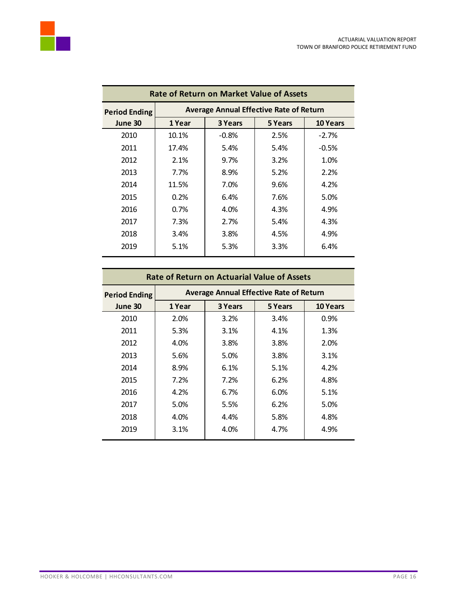

| <b>Rate of Return on Market Value of Assets</b> |                                                |                                       |      |         |  |  |  |  |  |
|-------------------------------------------------|------------------------------------------------|---------------------------------------|------|---------|--|--|--|--|--|
| <b>Period Ending</b>                            | <b>Average Annual Effective Rate of Return</b> |                                       |      |         |  |  |  |  |  |
| June 30                                         | 1 Year                                         | 3 Years<br>5 Years<br><b>10 Years</b> |      |         |  |  |  |  |  |
| 2010                                            | 10.1%                                          | $-0.8%$                               | 2.5% | $-2.7%$ |  |  |  |  |  |
| 2011                                            | 17.4%                                          | 5.4%                                  | 5.4% | $-0.5%$ |  |  |  |  |  |
| 2012                                            | 2.1%                                           | $9.7\%$                               | 3.2% | 1.0%    |  |  |  |  |  |
| 2013                                            | 7.7%                                           | 8.9%                                  | 5.2% | 2.2%    |  |  |  |  |  |
| 2014                                            | 11.5%                                          | 7.0%                                  | 9.6% | 4.2%    |  |  |  |  |  |
| 2015                                            | 0.2%                                           | 6.4%                                  | 7.6% | 5.0%    |  |  |  |  |  |
| 2016                                            | $0.7\%$                                        | 4.0%                                  | 4.3% | 4.9%    |  |  |  |  |  |
| 2017                                            | 7.3%                                           | 2.7%                                  | 5.4% | 4.3%    |  |  |  |  |  |
| 2018                                            | 3.4%                                           | 3.8%                                  | 4.5% | 4.9%    |  |  |  |  |  |
| 2019                                            | 5.1%                                           | 5.3%                                  | 3.3% | 6.4%    |  |  |  |  |  |
|                                                 |                                                |                                       |      |         |  |  |  |  |  |

| <b>Rate of Return on Actuarial Value of Assets</b> |                                                |                    |      |      |  |  |  |  |
|----------------------------------------------------|------------------------------------------------|--------------------|------|------|--|--|--|--|
| <b>Period Ending</b>                               | <b>Average Annual Effective Rate of Return</b> |                    |      |      |  |  |  |  |
| June 30                                            | 1 Year                                         | 5 Years<br>3 Years |      |      |  |  |  |  |
| 2010                                               | 2.0%                                           | 3.2%               | 3.4% | 0.9% |  |  |  |  |
| 2011                                               | 5.3%                                           | 3.1%               | 4.1% | 1.3% |  |  |  |  |
| 2012                                               | 4.0%                                           | 3.8%               | 3.8% | 2.0% |  |  |  |  |
| 2013                                               | 5.6%                                           | 5.0%               | 3.8% | 3.1% |  |  |  |  |
| 2014                                               | 8.9%                                           | 6.1%               | 5.1% | 4.2% |  |  |  |  |
| 2015                                               | 7.2%                                           | 7.2%               | 6.2% | 4.8% |  |  |  |  |
| 2016                                               | 4.2%                                           | 6.7%               | 6.0% | 5.1% |  |  |  |  |
| 2017                                               | 5.0%                                           | 5.5%               | 6.2% | 5.0% |  |  |  |  |
| 2018                                               | 4.0%                                           | 4.4%               | 5.8% | 4.8% |  |  |  |  |
| 2019                                               | 3.1%                                           | 4.0%               | 4.7% | 4.9% |  |  |  |  |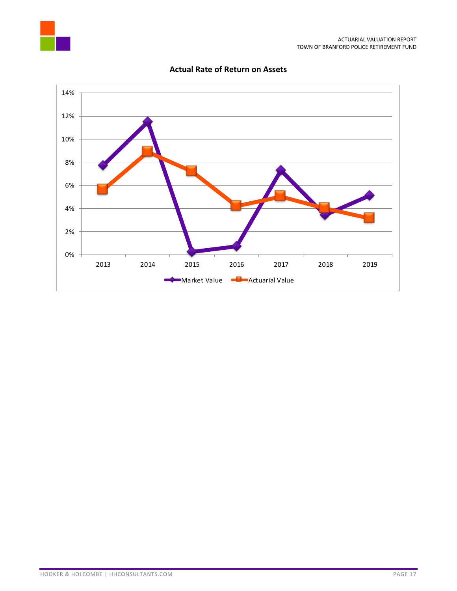



#### **Actual Rate of Return on Assets**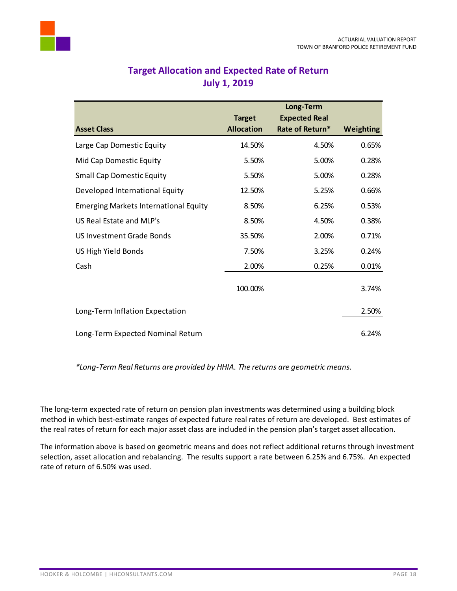<span id="page-19-0"></span>

| <b>Target Allocation and Expected Rate of Return</b> |                     |  |  |
|------------------------------------------------------|---------------------|--|--|
|                                                      | <b>July 1, 2019</b> |  |  |

|                                              |                   | Long-Term            |                  |
|----------------------------------------------|-------------------|----------------------|------------------|
|                                              | <b>Target</b>     | <b>Expected Real</b> |                  |
| <b>Asset Class</b>                           | <b>Allocation</b> | Rate of Return*      | <b>Weighting</b> |
| Large Cap Domestic Equity                    | 14.50%            | 4.50%                | 0.65%            |
| Mid Cap Domestic Equity                      | 5.50%             | 5.00%                | 0.28%            |
| <b>Small Cap Domestic Equity</b>             | 5.50%             | 5.00%                | 0.28%            |
| Developed International Equity               | 12.50%            | 5.25%                | 0.66%            |
| <b>Emerging Markets International Equity</b> | 8.50%             | 6.25%                | 0.53%            |
| US Real Estate and MLP's                     | 8.50%             | 4.50%                | 0.38%            |
| US Investment Grade Bonds                    | 35.50%            | 2.00%                | 0.71%            |
| US High Yield Bonds                          | 7.50%             | 3.25%                | 0.24%            |
| Cash                                         | 2.00%             | 0.25%                | 0.01%            |
|                                              | 100.00%           |                      | 3.74%            |
| Long-Term Inflation Expectation              |                   |                      | 2.50%            |
| Long-Term Expected Nominal Return            |                   |                      | 6.24%            |

*\*Long-Term Real Returns are provided by HHIA. The returns are geometric means.*

The long-term expected rate of return on pension plan investments was determined using a building block method in which best-estimate ranges of expected future real rates of return are developed. Best estimates of the real rates of return for each major asset class are included in the pension plan's target asset allocation.

The information above is based on geometric means and does not reflect additional returns through investment selection, asset allocation and rebalancing. The results support a rate between 6.25% and 6.75%. An expected rate of return of 6.50% was used.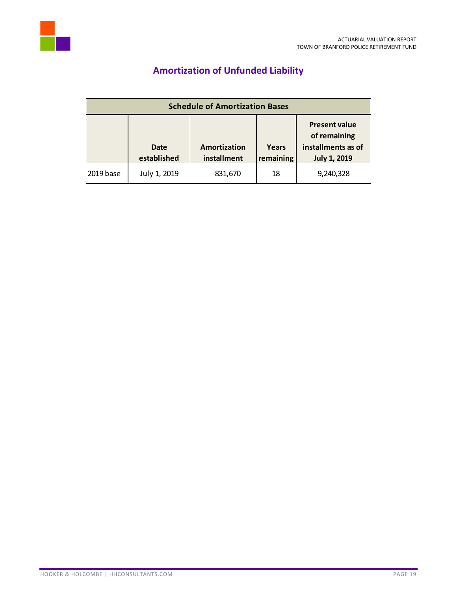<span id="page-20-0"></span>

# **Amortization of Unfunded Liability**

| <b>Schedule of Amortization Bases</b> |                            |                             |                    |                                                                                   |  |
|---------------------------------------|----------------------------|-----------------------------|--------------------|-----------------------------------------------------------------------------------|--|
|                                       | <b>Date</b><br>established | Amortization<br>installment | Years<br>remaining | <b>Present value</b><br>of remaining<br>installments as of<br><b>July 1, 2019</b> |  |
| 2019 base                             | July 1, 2019               | 831,670                     | 18                 | 9,240,328                                                                         |  |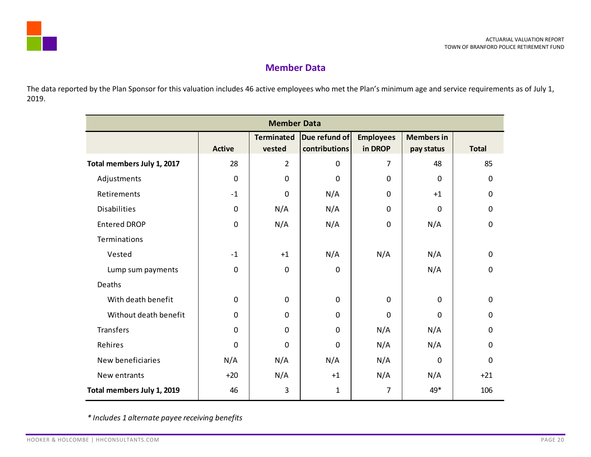

## **Member Data**

The data reported by the Plan Sponsor for this valuation includes 46 active employees who met the Plan's minimum age and service requirements as of July 1, 2019.

<span id="page-21-0"></span>

| <b>Member Data</b>         |               |                             |                                |                             |                                 |              |
|----------------------------|---------------|-----------------------------|--------------------------------|-----------------------------|---------------------------------|--------------|
|                            | <b>Active</b> | <b>Terminated</b><br>vested | Due refund of<br>contributions | <b>Employees</b><br>in DROP | <b>Members in</b><br>pay status | <b>Total</b> |
| Total members July 1, 2017 | 28            | $\overline{2}$              | $\mathbf 0$                    | 7                           | 48                              | 85           |
| Adjustments                | 0             | $\mathbf 0$                 | $\mathbf 0$                    | $\mathbf 0$                 | $\mathbf 0$                     | $\mathbf 0$  |
| Retirements                | $-1$          | 0                           | N/A                            | $\mathbf 0$                 | $+1$                            | $\mathbf 0$  |
| <b>Disabilities</b>        | $\mathbf 0$   | N/A                         | N/A                            | $\mathbf 0$                 | $\mathbf 0$                     | $\mathbf 0$  |
| <b>Entered DROP</b>        | $\mathbf 0$   | N/A                         | N/A                            | $\mathbf 0$                 | N/A                             | $\mathbf 0$  |
| Terminations               |               |                             |                                |                             |                                 |              |
| Vested                     | $-1$          | $+1$                        | N/A                            | N/A                         | N/A                             | $\mathbf 0$  |
| Lump sum payments          | $\mathbf 0$   | $\mathbf 0$                 | $\pmb{0}$                      |                             | N/A                             | $\mathbf 0$  |
| Deaths                     |               |                             |                                |                             |                                 |              |
| With death benefit         | $\pmb{0}$     | $\mathbf 0$                 | $\pmb{0}$                      | $\mathbf 0$                 | $\mathbf 0$                     | $\mathbf 0$  |
| Without death benefit      | $\mathbf 0$   | $\mathbf 0$                 | $\mathbf 0$                    | $\mathbf 0$                 | $\mathbf 0$                     | $\mathbf 0$  |
| Transfers                  | 0             | $\mathbf 0$                 | $\mathbf 0$                    | N/A                         | N/A                             | $\mathbf 0$  |
| Rehires                    | $\pmb{0}$     | 0                           | $\mathbf 0$                    | N/A                         | N/A                             | $\mathbf 0$  |
| New beneficiaries          | N/A           | N/A                         | N/A                            | N/A                         | $\mathbf 0$                     | $\mathbf 0$  |
| New entrants               | $+20$         | N/A                         | $+1$                           | N/A                         | N/A                             | $+21$        |
| Total members July 1, 2019 | 46            | 3                           | $\mathbf{1}$                   | 7                           | 49*                             | 106          |

*\* Includes 1 alternate payee receiving benefits*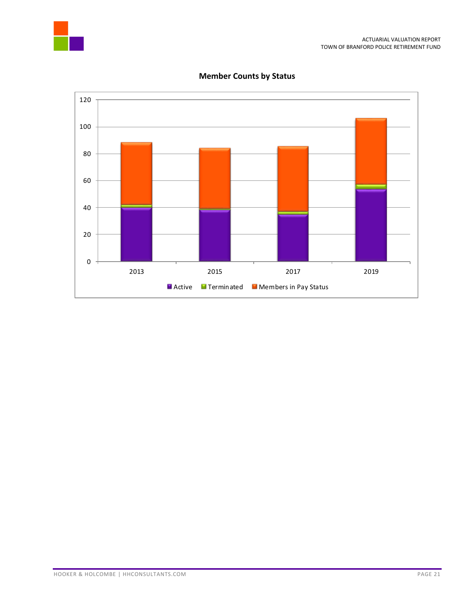



### **Member Counts by Status**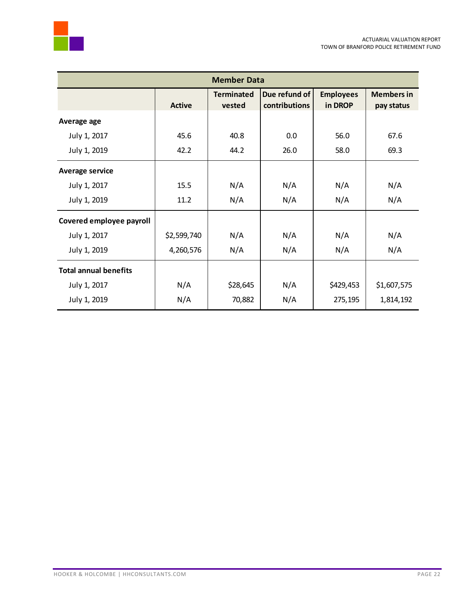



| <b>Member Data</b>           |               |                             |                                |                             |                                 |
|------------------------------|---------------|-----------------------------|--------------------------------|-----------------------------|---------------------------------|
|                              | <b>Active</b> | <b>Terminated</b><br>vested | Due refund of<br>contributions | <b>Employees</b><br>in DROP | <b>Members in</b><br>pay status |
| Average age                  |               |                             |                                |                             |                                 |
| July 1, 2017                 | 45.6          | 40.8                        | 0.0                            | 56.0                        | 67.6                            |
| July 1, 2019                 | 42.2          | 44.2                        | 26.0                           | 58.0                        | 69.3                            |
| <b>Average service</b>       |               |                             |                                |                             |                                 |
| July 1, 2017                 | 15.5          | N/A                         | N/A                            | N/A                         | N/A                             |
| July 1, 2019                 | 11.2          | N/A                         | N/A                            | N/A                         | N/A                             |
| Covered employee payroll     |               |                             |                                |                             |                                 |
| July 1, 2017                 | \$2,599,740   | N/A                         | N/A                            | N/A                         | N/A                             |
| July 1, 2019                 | 4,260,576     | N/A                         | N/A                            | N/A                         | N/A                             |
| <b>Total annual benefits</b> |               |                             |                                |                             |                                 |
| July 1, 2017                 | N/A           | \$28,645                    | N/A                            | \$429,453                   | \$1,607,575                     |
| July 1, 2019                 | N/A           | 70,882                      | N/A                            | 275,195                     | 1,814,192                       |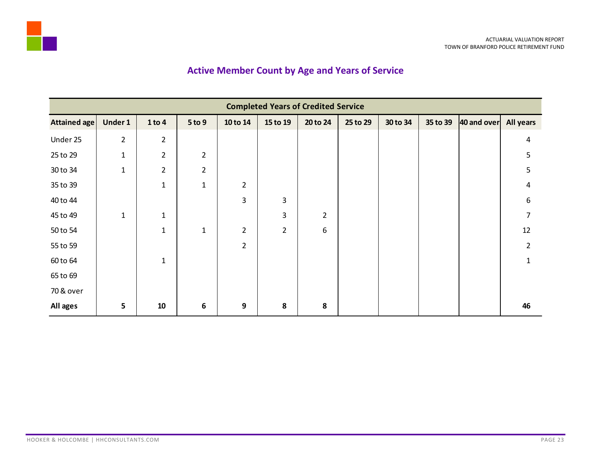# **Active Member Count by Age and Years of Service**

<span id="page-24-0"></span>

|                     | <b>Completed Years of Credited Service</b> |                |                |                |                |                |          |          |          |             |                  |
|---------------------|--------------------------------------------|----------------|----------------|----------------|----------------|----------------|----------|----------|----------|-------------|------------------|
| <b>Attained age</b> | Under 1                                    | 1 to 4         | $5$ to $9$     | 10 to 14       | 15 to 19       | 20 to 24       | 25 to 29 | 30 to 34 | 35 to 39 | 40 and over | <b>All years</b> |
| Under 25            | $\overline{2}$                             | $\overline{2}$ |                |                |                |                |          |          |          |             | 4                |
| 25 to 29            | $\mathbf{1}$                               | $\overline{2}$ | $\overline{2}$ |                |                |                |          |          |          |             | 5                |
| 30 to 34            | $\mathbf{1}$                               | $\overline{2}$ | $\overline{2}$ |                |                |                |          |          |          |             | 5                |
| 35 to 39            |                                            | $\mathbf{1}$   | $\mathbf{1}$   | $\overline{2}$ |                |                |          |          |          |             | 4                |
| 40 to 44            |                                            |                |                | 3              | 3              |                |          |          |          |             | 6                |
| 45 to 49            | $\mathbf{1}$                               | $\mathbf 1$    |                |                | 3              | $\overline{2}$ |          |          |          |             | 7                |
| 50 to 54            |                                            | $\mathbf{1}$   | $\mathbf{1}$   | $\overline{2}$ | $\overline{2}$ | 6              |          |          |          |             | 12               |
| 55 to 59            |                                            |                |                | $\overline{2}$ |                |                |          |          |          |             | $\overline{2}$   |
| 60 to 64            |                                            | $\mathbf 1$    |                |                |                |                |          |          |          |             | $\mathbf{1}$     |
| 65 to 69            |                                            |                |                |                |                |                |          |          |          |             |                  |
| 70 & over           |                                            |                |                |                |                |                |          |          |          |             |                  |
| All ages            | 5                                          | 10             | 6              | 9              | 8              | 8              |          |          |          |             | 46               |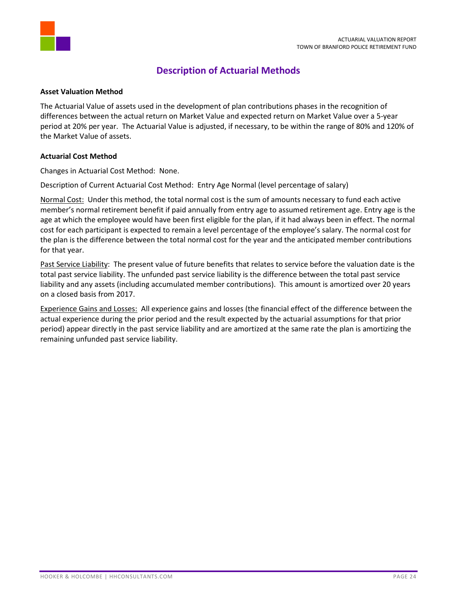

### **Description of Actuarial Methods**

#### <span id="page-25-0"></span>**Asset Valuation Method**

The Actuarial Value of assets used in the development of plan contributions phases in the recognition of differences between the actual return on Market Value and expected return on Market Value over a 5-year period at 20% per year. The Actuarial Value is adjusted, if necessary, to be within the range of 80% and 120% of the Market Value of assets.

#### **Actuarial Cost Method**

Changes in Actuarial Cost Method: None.

Description of Current Actuarial Cost Method: Entry Age Normal (level percentage of salary)

Normal Cost: Under this method, the total normal cost is the sum of amounts necessary to fund each active member's normal retirement benefit if paid annually from entry age to assumed retirement age. Entry age is the age at which the employee would have been first eligible for the plan, if it had always been in effect. The normal cost for each participant is expected to remain a level percentage of the employee's salary. The normal cost for the plan is the difference between the total normal cost for the year and the anticipated member contributions for that year.

Past Service Liability: The present value of future benefits that relates to service before the valuation date is the total past service liability. The unfunded past service liability is the difference between the total past service liability and any assets (including accumulated member contributions). This amount is amortized over 20 years on a closed basis from 2017.

Experience Gains and Losses: All experience gains and losses (the financial effect of the difference between the actual experience during the prior period and the result expected by the actuarial assumptions for that prior period) appear directly in the past service liability and are amortized at the same rate the plan is amortizing the remaining unfunded past service liability.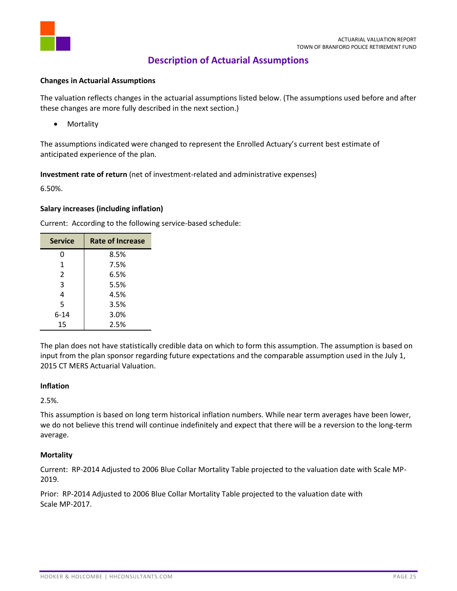

### **Description of Actuarial Assumptions**

#### <span id="page-26-0"></span>**Changes in Actuarial Assumptions**

The valuation reflects changes in the actuarial assumptions listed below. (The assumptions used before and after these changes are more fully described in the next section.)

• Mortality

The assumptions indicated were changed to represent the Enrolled Actuary's current best estimate of anticipated experience of the plan.

**Investment rate of return** (net of investment-related and administrative expenses)

6.50%.

#### **Salary increases (including inflation)**

| <b>Service</b> | <b>Rate of Increase</b> |
|----------------|-------------------------|
| 0              | 8.5%                    |
| 1              | 7.5%                    |
| $\mathcal{P}$  | 6.5%                    |
| 3              | 5.5%                    |
| 4              | 4.5%                    |
| 5              | 3.5%                    |
| $6 - 14$       | 3.0%                    |
| 15             | 2.5%                    |

Current: According to the following service-based schedule:

The plan does not have statistically credible data on which to form this assumption. The assumption is based on input from the plan sponsor regarding future expectations and the comparable assumption used in the July 1, 2015 CT MERS Actuarial Valuation.

#### **Inflation**

2.5%.

This assumption is based on long term historical inflation numbers. While near term averages have been lower, we do not believe this trend will continue indefinitely and expect that there will be a reversion to the long-term average.

#### **Mortality**

Current: RP-2014 Adjusted to 2006 Blue Collar Mortality Table projected to the valuation date with Scale MP-2019.

Prior: RP-2014 Adjusted to 2006 Blue Collar Mortality Table projected to the valuation date with Scale MP-2017.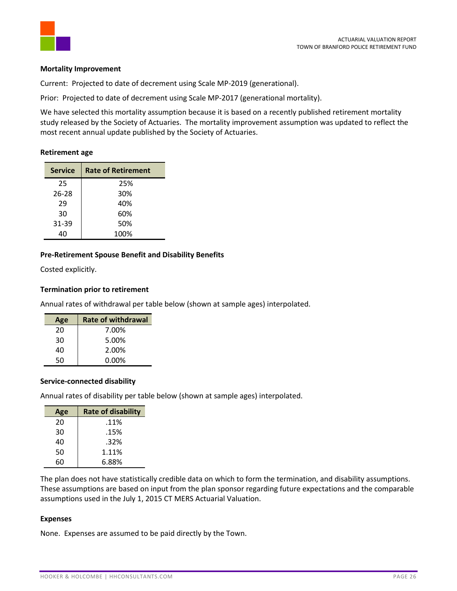

#### **Mortality Improvement**

Current: Projected to date of decrement using Scale MP-2019 (generational).

Prior: Projected to date of decrement using Scale MP-2017 (generational mortality).

We have selected this mortality assumption because it is based on a recently published retirement mortality study released by the Society of Actuaries. The mortality improvement assumption was updated to reflect the most recent annual update published by the Society of Actuaries.

#### **Retirement age**

| <b>Service</b> | <b>Rate of Retirement</b> |
|----------------|---------------------------|
| 25             | 25%                       |
| 26-28          | 30%                       |
| 29             | 40%                       |
| 30             | 60%                       |
| 31-39          | 50%                       |
| 40             | 100%                      |

#### **Pre-Retirement Spouse Benefit and Disability Benefits**

Costed explicitly.

#### **Termination prior to retirement**

Annual rates of withdrawal per table below (shown at sample ages) interpolated.

| Age | <b>Rate of withdrawal</b> |
|-----|---------------------------|
| 20  | 7.00%                     |
| 30  | 5.00%                     |
| 40  | 2.00%                     |
| 50  | 0.00%                     |

#### **Service-connected disability**

Annual rates of disability per table below (shown at sample ages) interpolated.

| Age | <b>Rate of disability</b> |
|-----|---------------------------|
| 20  | .11%                      |
| 30  | .15%                      |
| 40  | .32%                      |
| 50  | 1.11%                     |
| 60  | 6.88%                     |

The plan does not have statistically credible data on which to form the termination, and disability assumptions. These assumptions are based on input from the plan sponsor regarding future expectations and the comparable assumptions used in the July 1, 2015 CT MERS Actuarial Valuation.

#### **Expenses**

None. Expenses are assumed to be paid directly by the Town.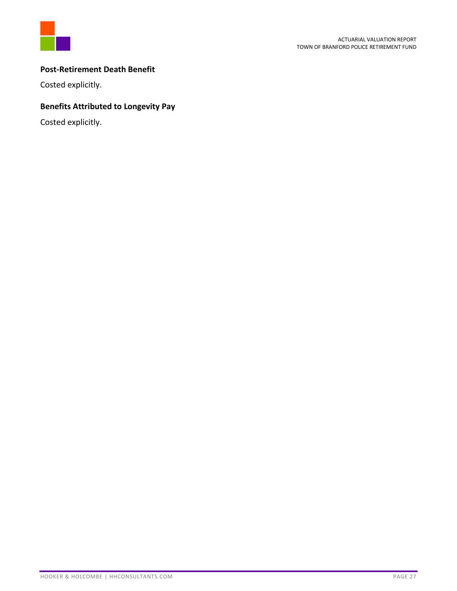

#### **Post-Retirement Death Benefit**

Costed explicitly.

### **Benefits Attributed to Longevity Pay**

Costed explicitly.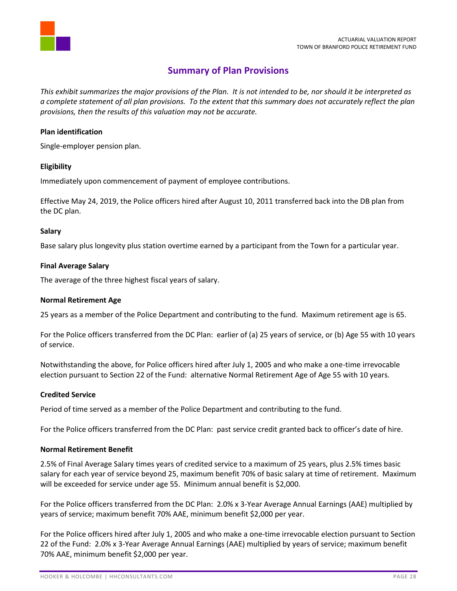

## **Summary of Plan Provisions**

<span id="page-29-0"></span>*This exhibit summarizes the major provisions of the Plan. It is not intended to be, nor should it be interpreted as a complete statement of all plan provisions. To the extent that this summary does not accurately reflect the plan provisions, then the results of this valuation may not be accurate.* 

#### **Plan identification**

Single-employer pension plan.

#### **Eligibility**

Immediately upon commencement of payment of employee contributions.

Effective May 24, 2019, the Police officers hired after August 10, 2011 transferred back into the DB plan from the DC plan.

#### **Salary**

Base salary plus longevity plus station overtime earned by a participant from the Town for a particular year.

#### **Final Average Salary**

The average of the three highest fiscal years of salary.

#### **Normal Retirement Age**

25 years as a member of the Police Department and contributing to the fund. Maximum retirement age is 65.

For the Police officers transferred from the DC Plan: earlier of (a) 25 years of service, or (b) Age 55 with 10 years of service.

Notwithstanding the above, for Police officers hired after July 1, 2005 and who make a one-time irrevocable election pursuant to Section 22 of the Fund: alternative Normal Retirement Age of Age 55 with 10 years.

#### **Credited Service**

Period of time served as a member of the Police Department and contributing to the fund.

For the Police officers transferred from the DC Plan: past service credit granted back to officer's date of hire.

#### **Normal Retirement Benefit**

2.5% of Final Average Salary times years of credited service to a maximum of 25 years, plus 2.5% times basic salary for each year of service beyond 25, maximum benefit 70% of basic salary at time of retirement. Maximum will be exceeded for service under age 55. Minimum annual benefit is \$2,000.

For the Police officers transferred from the DC Plan: 2.0% x 3-Year Average Annual Earnings (AAE) multiplied by years of service; maximum benefit 70% AAE, minimum benefit \$2,000 per year.

For the Police officers hired after July 1, 2005 and who make a one-time irrevocable election pursuant to Section 22 of the Fund: 2.0% x 3-Year Average Annual Earnings (AAE) multiplied by years of service; maximum benefit 70% AAE, minimum benefit \$2,000 per year.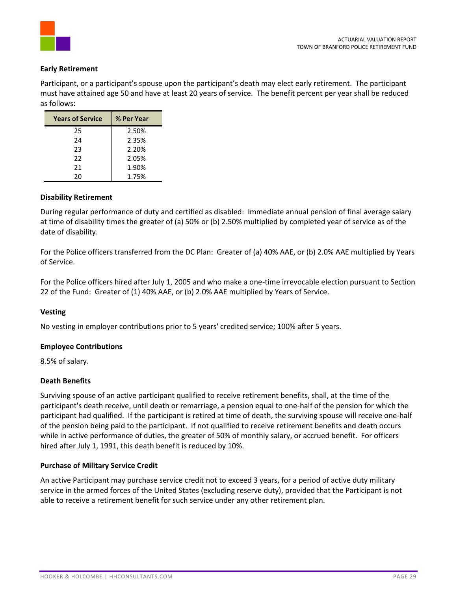

#### **Early Retirement**

Participant, or a participant's spouse upon the participant's death may elect early retirement. The participant must have attained age 50 and have at least 20 years of service. The benefit percent per year shall be reduced as follows:

| <b>Years of Service</b> | % Per Year |
|-------------------------|------------|
| 25                      | 2.50%      |
| 24                      | 2.35%      |
| 23                      | 2.20%      |
| 22                      | 2.05%      |
| 21                      | 1.90%      |
| 20                      | 1.75%      |

#### **Disability Retirement**

During regular performance of duty and certified as disabled: Immediate annual pension of final average salary at time of disability times the greater of (a) 50% or (b) 2.50% multiplied by completed year of service as of the date of disability.

For the Police officers transferred from the DC Plan: Greater of (a) 40% AAE, or (b) 2.0% AAE multiplied by Years of Service.

For the Police officers hired after July 1, 2005 and who make a one-time irrevocable election pursuant to Section 22 of the Fund: Greater of (1) 40% AAE, or (b) 2.0% AAE multiplied by Years of Service.

#### **Vesting**

No vesting in employer contributions prior to 5 years' credited service; 100% after 5 years.

#### **Employee Contributions**

8.5% of salary.

#### **Death Benefits**

Surviving spouse of an active participant qualified to receive retirement benefits, shall, at the time of the participant's death receive, until death or remarriage, a pension equal to one-half of the pension for which the participant had qualified. If the participant is retired at time of death, the surviving spouse will receive one-half of the pension being paid to the participant. If not qualified to receive retirement benefits and death occurs while in active performance of duties, the greater of 50% of monthly salary, or accrued benefit. For officers hired after July 1, 1991, this death benefit is reduced by 10%.

#### **Purchase of Military Service Credit**

An active Participant may purchase service credit not to exceed 3 years, for a period of active duty military service in the armed forces of the United States (excluding reserve duty), provided that the Participant is not able to receive a retirement benefit for such service under any other retirement plan.